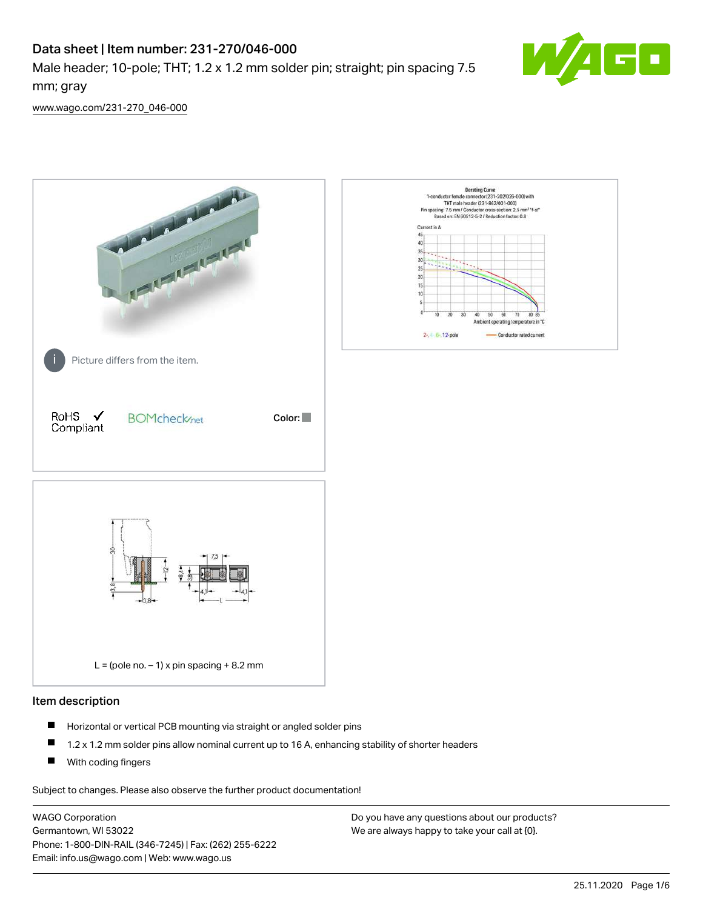# Data sheet | Item number: 231-270/046-000

Male header; 10-pole; THT; 1.2 x 1.2 mm solder pin; straight; pin spacing 7.5 mm; gray



[www.wago.com/231-270\\_046-000](http://www.wago.com/231-270_046-000)



#### Item description

- $\blacksquare$ Horizontal or vertical PCB mounting via straight or angled solder pins
- $\blacksquare$ 1.2 x 1.2 mm solder pins allow nominal current up to 16 A, enhancing stability of shorter headers
- $\blacksquare$ With coding fingers

Subject to changes. Please also observe the further product documentation!

WAGO Corporation Germantown, WI 53022 Phone: 1-800-DIN-RAIL (346-7245) | Fax: (262) 255-6222 Email: info.us@wago.com | Web: www.wago.us

Do you have any questions about our products? We are always happy to take your call at {0}.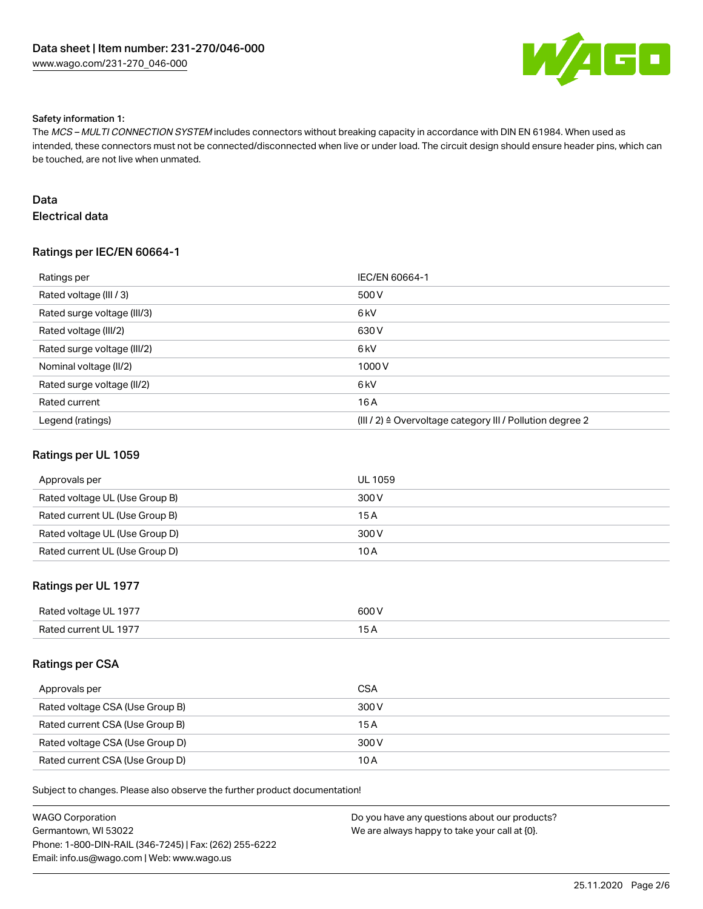

#### Safety information 1:

The MCS – MULTI CONNECTION SYSTEM includes connectors without breaking capacity in accordance with DIN EN 61984. When used as intended, these connectors must not be connected/disconnected when live or under load. The circuit design should ensure header pins, which can be touched, are not live when unmated.

# Data

# Electrical data

## Ratings per IEC/EN 60664-1

| Ratings per                 | IEC/EN 60664-1                                                        |
|-----------------------------|-----------------------------------------------------------------------|
| Rated voltage (III / 3)     | 500 V                                                                 |
| Rated surge voltage (III/3) | 6 <sub>kV</sub>                                                       |
| Rated voltage (III/2)       | 630 V                                                                 |
| Rated surge voltage (III/2) | 6 <sub>kV</sub>                                                       |
| Nominal voltage (II/2)      | 1000V                                                                 |
| Rated surge voltage (II/2)  | 6 <sub>kV</sub>                                                       |
| Rated current               | 16A                                                                   |
| Legend (ratings)            | $(III / 2)$ $\triangle$ Overvoltage category III / Pollution degree 2 |

#### Ratings per UL 1059

| Approvals per                  | UL 1059 |
|--------------------------------|---------|
| Rated voltage UL (Use Group B) | 300 V   |
| Rated current UL (Use Group B) | 15 A    |
| Rated voltage UL (Use Group D) | 300 V   |
| Rated current UL (Use Group D) | 10 A    |

### Ratings per UL 1977

| Rated voltage UL 1977 | 600 V |
|-----------------------|-------|
| Rated current UL 1977 |       |

#### Ratings per CSA

| Approvals per                   | CSA   |
|---------------------------------|-------|
| Rated voltage CSA (Use Group B) | 300 V |
| Rated current CSA (Use Group B) | 15 A  |
| Rated voltage CSA (Use Group D) | 300 V |
| Rated current CSA (Use Group D) | 10 A  |

Subject to changes. Please also observe the further product documentation!

| WAGO Corporation                                       | Do you have any questions about our products? |
|--------------------------------------------------------|-----------------------------------------------|
| Germantown, WI 53022                                   | We are always happy to take your call at {0}. |
| Phone: 1-800-DIN-RAIL (346-7245)   Fax: (262) 255-6222 |                                               |
| Email: info.us@wago.com   Web: www.wago.us             |                                               |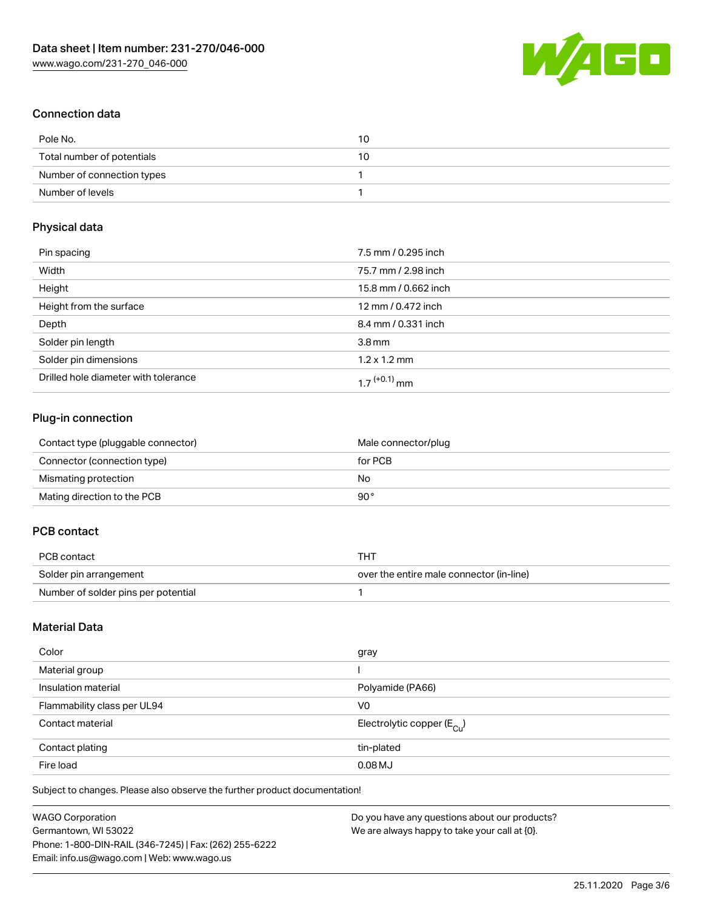

# Connection data

| Pole No.                   | 10 |
|----------------------------|----|
| Total number of potentials | 10 |
| Number of connection types |    |
| Number of levels           |    |

# Physical data

| Pin spacing                          | 7.5 mm / 0.295 inch  |
|--------------------------------------|----------------------|
| Width                                | 75.7 mm / 2.98 inch  |
| Height                               | 15.8 mm / 0.662 inch |
| Height from the surface              | 12 mm / 0.472 inch   |
| Depth                                | 8.4 mm / 0.331 inch  |
| Solder pin length                    | $3.8 \,\mathrm{mm}$  |
| Solder pin dimensions                | $1.2 \times 1.2$ mm  |
| Drilled hole diameter with tolerance | 1 7 $(+0.1)$ mm      |

# Plug-in connection

| Contact type (pluggable connector) | Male connector/plug |
|------------------------------------|---------------------|
| Connector (connection type)        | for PCB             |
| Mismating protection               | No                  |
| Mating direction to the PCB        | 90°                 |

## PCB contact

| PCB contact                         | тнт                                      |
|-------------------------------------|------------------------------------------|
| Solder pin arrangement              | over the entire male connector (in-line) |
| Number of solder pins per potential |                                          |

## Material Data

| Color                       | gray                                    |
|-----------------------------|-----------------------------------------|
| Material group              |                                         |
| Insulation material         | Polyamide (PA66)                        |
| Flammability class per UL94 | V <sub>0</sub>                          |
| Contact material            | Electrolytic copper ( $E_{\text{Cu}}$ ) |
| Contact plating             | tin-plated                              |
| Fire load                   | $0.08$ MJ                               |

Subject to changes. Please also observe the further product documentation!

| WAGO Corporation                                       | Do you have any questions about our products? |
|--------------------------------------------------------|-----------------------------------------------|
| Germantown. WI 53022                                   | We are always happy to take your call at {0}. |
| Phone: 1-800-DIN-RAIL (346-7245)   Fax: (262) 255-6222 |                                               |
| Email: info.us@wago.com   Web: www.wago.us             |                                               |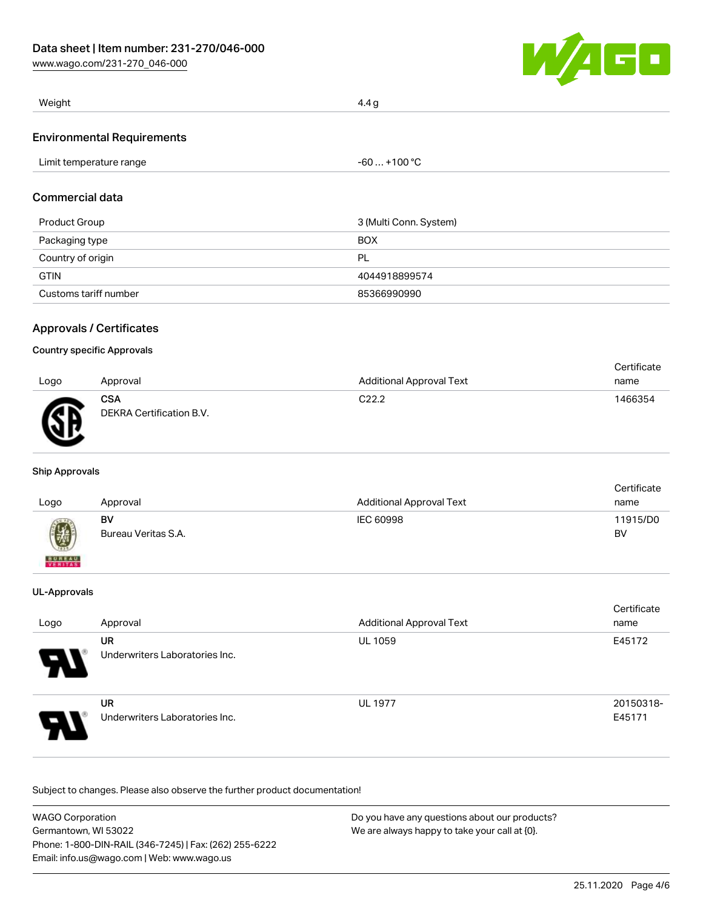[www.wago.com/231-270\\_046-000](http://www.wago.com/231-270_046-000)



| Weight                            | 4.4 g |
|-----------------------------------|-------|
| <b>Environmental Requirements</b> |       |

|  | Limit temperature range | $-60+100 °C$ |
|--|-------------------------|--------------|
|--|-------------------------|--------------|

## Commercial data

| Product Group         | 3 (Multi Conn. System) |
|-----------------------|------------------------|
| Packaging type        | <b>BOX</b>             |
| Country of origin     | PL                     |
| <b>GTIN</b>           | 4044918899574          |
| Customs tariff number | 85366990990            |

### Approvals / Certificates

#### Country specific Approvals

|      |                                        |                                 | Certificate |
|------|----------------------------------------|---------------------------------|-------------|
| Logo | Approval                               | <b>Additional Approval Text</b> | name        |
| Гπ   | <b>CSA</b><br>DEKRA Certification B.V. | C22.2                           | 1466354     |

#### Ship Approvals

| Logo                      | Approval                  | <b>Additional Approval Text</b> | Certificate<br>name |
|---------------------------|---------------------------|---------------------------------|---------------------|
| $\bigcircled{y}$          | BV<br>Bureau Veritas S.A. | IEC 60998                       | 11915/D0<br>BV      |
| <b>BUREAU</b><br>VERITASS |                           |                                 |                     |

#### UL-Approvals

| Logo                       | Approval                                    | <b>Additional Approval Text</b> | Certificate<br>name |
|----------------------------|---------------------------------------------|---------------------------------|---------------------|
| $\boldsymbol{\mathcal{A}}$ | <b>UR</b><br>Underwriters Laboratories Inc. | <b>UL 1059</b>                  | E45172              |
| P.                         | <b>UR</b><br>Underwriters Laboratories Inc. | <b>UL 1977</b>                  | 20150318-<br>E45171 |

Subject to changes. Please also observe the further product documentation!

| <b>WAGO Corporation</b>                                | Do you have any questions about our products? |
|--------------------------------------------------------|-----------------------------------------------|
| Germantown, WI 53022                                   | We are always happy to take your call at {0}. |
| Phone: 1-800-DIN-RAIL (346-7245)   Fax: (262) 255-6222 |                                               |
| Email: info.us@wago.com   Web: www.wago.us             |                                               |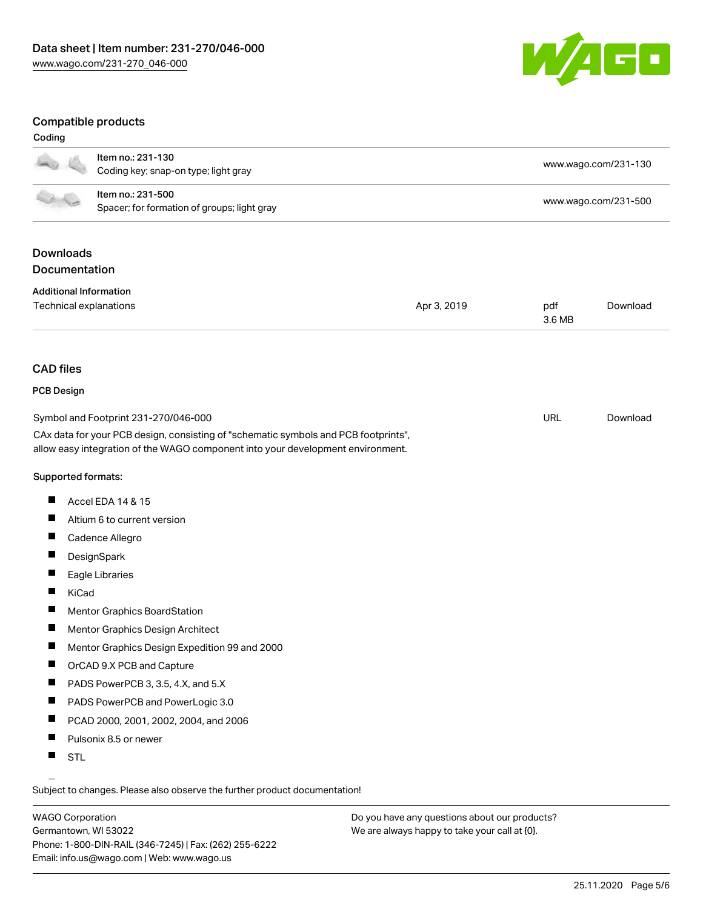

### Compatible products

#### Coding

|                                                         | Item no.: 231-130                                                                   |             |        | www.wago.com/231-130 |
|---------------------------------------------------------|-------------------------------------------------------------------------------------|-------------|--------|----------------------|
|                                                         | Coding key; snap-on type; light gray                                                |             |        |                      |
|                                                         | Item no.: 231-500                                                                   |             |        | www.wago.com/231-500 |
|                                                         | Spacer; for formation of groups; light gray                                         |             |        |                      |
| <b>Downloads</b>                                        |                                                                                     |             |        |                      |
| Documentation                                           |                                                                                     |             |        |                      |
|                                                         |                                                                                     |             |        |                      |
| <b>Additional Information</b><br>Technical explanations |                                                                                     | Apr 3, 2019 | pdf    | Download             |
|                                                         |                                                                                     |             | 3.6 MB |                      |
|                                                         |                                                                                     |             |        |                      |
| <b>CAD</b> files                                        |                                                                                     |             |        |                      |
| <b>PCB Design</b>                                       |                                                                                     |             |        |                      |
|                                                         | Symbol and Footprint 231-270/046-000                                                |             | URL    | Download             |
|                                                         | CAx data for your PCB design, consisting of "schematic symbols and PCB footprints", |             |        |                      |
|                                                         | allow easy integration of the WAGO component into your development environment.     |             |        |                      |
| Supported formats:                                      |                                                                                     |             |        |                      |
| $\blacksquare$                                          | Accel EDA 14 & 15                                                                   |             |        |                      |
| ш                                                       | Altium 6 to current version                                                         |             |        |                      |
| $\blacksquare$                                          | Cadence Allegro                                                                     |             |        |                      |
| $\overline{\phantom{a}}$                                | DesignSpark                                                                         |             |        |                      |
| ш                                                       | Eagle Libraries                                                                     |             |        |                      |
| П<br>KiCad                                              |                                                                                     |             |        |                      |
| п                                                       | Mentor Graphics BoardStation                                                        |             |        |                      |
| ш                                                       | Mentor Graphics Design Architect                                                    |             |        |                      |
| ш                                                       | Mentor Graphics Design Expedition 99 and 2000                                       |             |        |                      |
| ш                                                       | OrCAD 9.X PCB and Capture                                                           |             |        |                      |
|                                                         | PADS PowerPCB 3, 3.5, 4.X, and 5.X                                                  |             |        |                      |
| ш                                                       | PADS PowerPCB and PowerLogic 3.0                                                    |             |        |                      |
| ш                                                       | PCAD 2000, 2001, 2002, 2004, and 2006                                               |             |        |                      |
| Ш                                                       | Pulsonix 8.5 or newer                                                               |             |        |                      |
| Ш<br><b>STL</b>                                         |                                                                                     |             |        |                      |
|                                                         |                                                                                     |             |        |                      |
|                                                         | Subject to changes. Please also observe the further product documentation!          |             |        |                      |

WAGO Corporation Germantown, WI 53022 Phone: 1-800-DIN-RAIL (346-7245) | Fax: (262) 255-6222 Email: info.us@wago.com | Web: www.wago.us

Do you have any questions about our products? We are always happy to take your call at {0}.